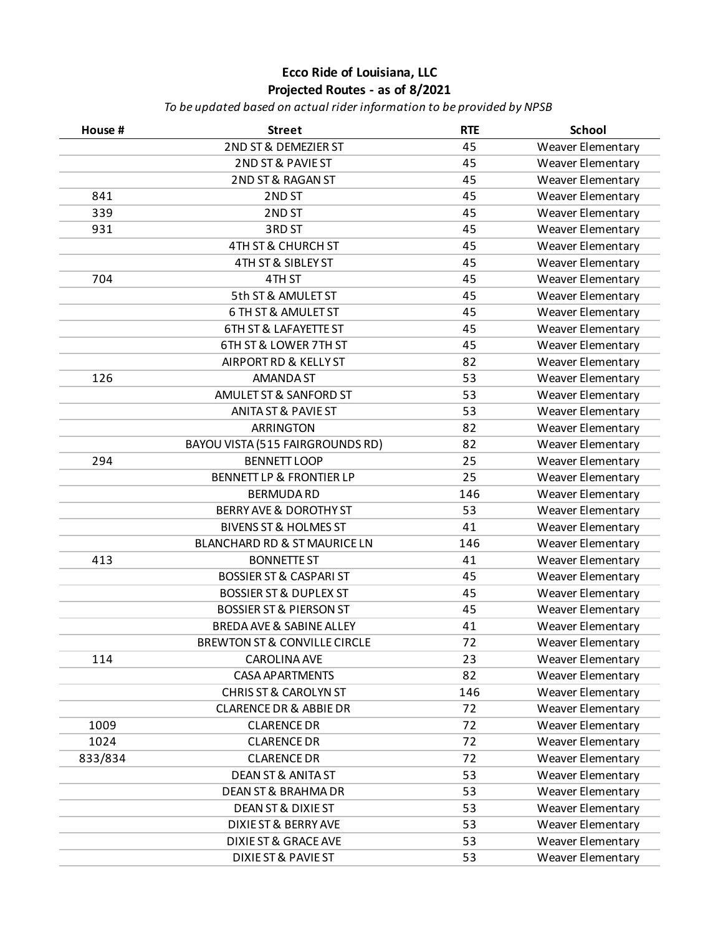|         | 2ND ST & DEMEZIER ST                    | 45  |                          |
|---------|-----------------------------------------|-----|--------------------------|
|         |                                         |     | Weaver Elementary        |
|         | 2ND ST & PAVIE ST                       | 45  | Weaver Elementary        |
|         | 2ND ST & RAGAN ST                       | 45  | <b>Weaver Elementary</b> |
| 841     | 2ND ST                                  | 45  | Weaver Elementary        |
| 339     | 2ND ST                                  | 45  | Weaver Elementary        |
| 931     | 3RD ST                                  | 45  | <b>Weaver Elementary</b> |
|         | 4TH ST & CHURCH ST                      | 45  | Weaver Elementary        |
|         | 4TH ST & SIBLEY ST                      | 45  | Weaver Elementary        |
| 704     | 4TH ST                                  | 45  | Weaver Elementary        |
|         | 5th ST & AMULET ST                      | 45  | Weaver Elementary        |
|         | 6 TH ST & AMULET ST                     | 45  | Weaver Elementary        |
|         | <b>6TH ST &amp; LAFAYETTE ST</b>        | 45  | <b>Weaver Elementary</b> |
|         | 6TH ST & LOWER 7TH ST                   | 45  | Weaver Elementary        |
|         | AIRPORT RD & KELLY ST                   | 82  | Weaver Elementary        |
| 126     | <b>AMANDA ST</b>                        | 53  | Weaver Elementary        |
|         | AMULET ST & SANFORD ST                  | 53  | Weaver Elementary        |
|         | <b>ANITA ST &amp; PAVIE ST</b>          | 53  | Weaver Elementary        |
|         | <b>ARRINGTON</b>                        | 82  | <b>Weaver Elementary</b> |
|         | BAYOU VISTA (515 FAIRGROUNDS RD)        | 82  | Weaver Elementary        |
| 294     | <b>BENNETT LOOP</b>                     | 25  | <b>Weaver Elementary</b> |
|         | <b>BENNETT LP &amp; FRONTIER LP</b>     | 25  | Weaver Elementary        |
|         | <b>BERMUDA RD</b>                       | 146 | Weaver Elementary        |
|         | <b>BERRY AVE &amp; DOROTHY ST</b>       | 53  | Weaver Elementary        |
|         | <b>BIVENS ST &amp; HOLMES ST</b>        | 41  | <b>Weaver Elementary</b> |
|         | BLANCHARD RD & ST MAURICE LN            | 146 | <b>Weaver Elementary</b> |
| 413     | <b>BONNETTE ST</b>                      | 41  | Weaver Elementary        |
|         | <b>BOSSIER ST &amp; CASPARI ST</b>      | 45  | Weaver Elementary        |
|         | <b>BOSSIER ST &amp; DUPLEX ST</b>       | 45  | Weaver Elementary        |
|         | <b>BOSSIER ST &amp; PIERSON ST</b>      | 45  | Weaver Elementary        |
|         | <b>BREDA AVE &amp; SABINE ALLEY</b>     | 41  | <b>Weaver Elementary</b> |
|         | <b>BREWTON ST &amp; CONVILLE CIRCLE</b> | 72  | Weaver Elementary        |
| 114     | <b>CAROLINA AVE</b>                     | 23  | Weaver Elementary        |
|         | <b>CASA APARTMENTS</b>                  | 82  | Weaver Elementary        |
|         | <b>CHRIS ST &amp; CAROLYN ST</b>        | 146 | Weaver Elementary        |
|         | <b>CLARENCE DR &amp; ABBIE DR</b>       | 72  | Weaver Elementary        |
| 1009    | <b>CLARENCE DR</b>                      | 72  | Weaver Elementary        |
| 1024    | <b>CLARENCE DR</b>                      | 72  | Weaver Elementary        |
| 833/834 | <b>CLARENCE DR</b>                      | 72  | Weaver Elementary        |
|         | <b>DEAN ST &amp; ANITA ST</b>           | 53  | <b>Weaver Elementary</b> |
|         | <b>DEAN ST &amp; BRAHMA DR</b>          | 53  | Weaver Elementary        |
|         | <b>DEAN ST &amp; DIXIE ST</b>           | 53  | Weaver Elementary        |
|         | <b>DIXIE ST &amp; BERRY AVE</b>         | 53  | Weaver Elementary        |
|         | <b>DIXIE ST &amp; GRACE AVE</b>         | 53  | Weaver Elementary        |
|         | DIXIE ST & PAVIE ST                     | 53  | Weaver Elementary        |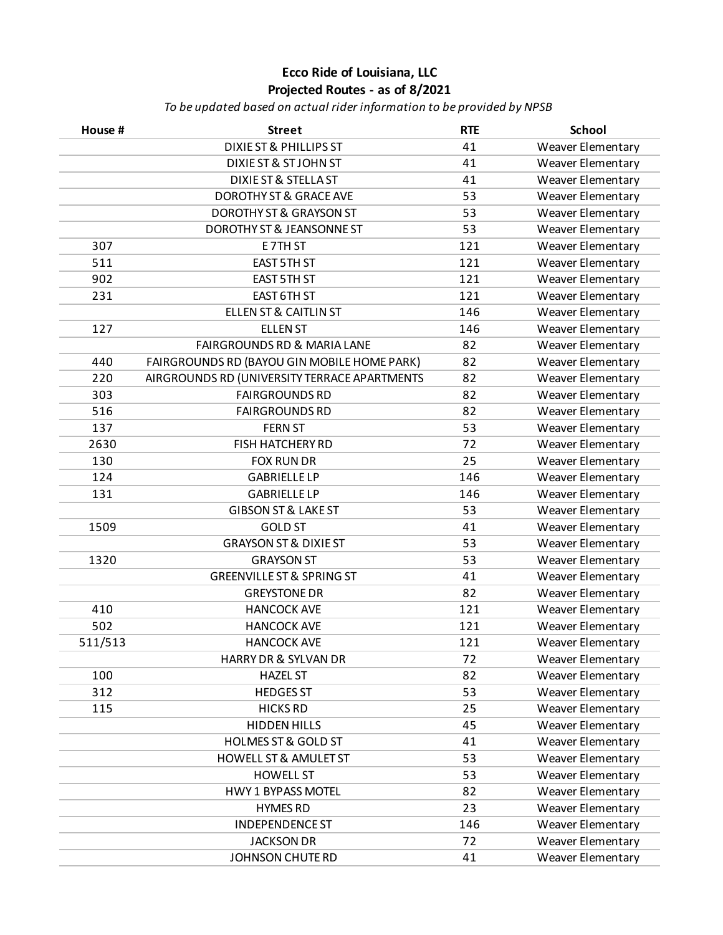| House # | <b>Street</b>                                | <b>RTE</b> | <b>School</b>            |
|---------|----------------------------------------------|------------|--------------------------|
|         | <b>DIXIE ST &amp; PHILLIPS ST</b>            | 41         | Weaver Elementary        |
|         | <b>DIXIE ST &amp; ST JOHN ST</b>             | 41         | <b>Weaver Elementary</b> |
|         | <b>DIXIE ST &amp; STELLA ST</b>              | 41         | Weaver Elementary        |
|         | <b>DOROTHY ST &amp; GRACE AVE</b>            | 53         | Weaver Elementary        |
|         | <b>DOROTHY ST &amp; GRAYSON ST</b>           | 53         | Weaver Elementary        |
|         | DOROTHY ST & JEANSONNE ST                    | 53         | Weaver Elementary        |
| 307     | E7TH ST                                      | 121        | Weaver Elementary        |
| 511     | <b>EAST 5TH ST</b>                           | 121        | Weaver Elementary        |
| 902     | <b>EAST 5TH ST</b>                           | 121        | Weaver Elementary        |
| 231     | <b>EAST 6TH ST</b>                           | 121        | Weaver Elementary        |
|         | <b>ELLEN ST &amp; CAITLIN ST</b>             | 146        | Weaver Elementary        |
| 127     | <b>ELLEN ST</b>                              | 146        | Weaver Elementary        |
|         | <b>FAIRGROUNDS RD &amp; MARIA LANE</b>       | 82         | Weaver Elementary        |
| 440     | FAIRGROUNDS RD (BAYOU GIN MOBILE HOME PARK)  | 82         | Weaver Elementary        |
| 220     | AIRGROUNDS RD (UNIVERSITY TERRACE APARTMENTS | 82         | Weaver Elementary        |
| 303     | <b>FAIRGROUNDS RD</b>                        | 82         | Weaver Elementary        |
| 516     | <b>FAIRGROUNDS RD</b>                        | 82         | Weaver Elementary        |
| 137     | <b>FERN ST</b>                               | 53         | Weaver Elementary        |
| 2630    | <b>FISH HATCHERY RD</b>                      | 72         | Weaver Elementary        |
| 130     | <b>FOX RUN DR</b>                            | 25         | Weaver Elementary        |
| 124     | <b>GABRIELLE LP</b>                          | 146        | Weaver Elementary        |
| 131     | <b>GABRIELLE LP</b>                          | 146        | Weaver Elementary        |
|         | <b>GIBSON ST &amp; LAKE ST</b>               | 53         | Weaver Elementary        |
| 1509    | <b>GOLD ST</b>                               | 41         | Weaver Elementary        |
|         | <b>GRAYSON ST &amp; DIXIE ST</b>             | 53         | Weaver Elementary        |
| 1320    | <b>GRAYSON ST</b>                            | 53         | Weaver Elementary        |
|         | <b>GREENVILLE ST &amp; SPRING ST</b>         | 41         | Weaver Elementary        |
|         | <b>GREYSTONE DR</b>                          | 82         | Weaver Elementary        |
| 410     | <b>HANCOCK AVE</b>                           | 121        | Weaver Elementary        |
| 502     | <b>HANCOCK AVE</b>                           | 121        | Weaver Elementary        |
| 511/513 | <b>HANCOCK AVE</b>                           | 121        | Weaver Elementary        |
|         | HARRY DR & SYLVAN DR                         | 72         | Weaver Elementary        |
| 100     | <b>HAZEL ST</b>                              | 82         | Weaver Elementary        |
| 312     | <b>HEDGES ST</b>                             | 53         | Weaver Elementary        |
| 115     | <b>HICKS RD</b>                              | 25         | Weaver Elementary        |
|         | <b>HIDDEN HILLS</b>                          | 45         | Weaver Elementary        |
|         | <b>HOLMES ST &amp; GOLD ST</b>               | 41         | Weaver Elementary        |
|         | <b>HOWELL ST &amp; AMULET ST</b>             | 53         | Weaver Elementary        |
|         | <b>HOWELL ST</b>                             | 53         | Weaver Elementary        |
|         | <b>HWY 1 BYPASS MOTEL</b>                    | 82         | Weaver Elementary        |
|         | <b>HYMES RD</b>                              | 23         | Weaver Elementary        |
|         | <b>INDEPENDENCE ST</b>                       | 146        | Weaver Elementary        |
|         | <b>JACKSON DR</b>                            | 72         | Weaver Elementary        |
|         | <b>JOHNSON CHUTE RD</b>                      | 41         | Weaver Elementary        |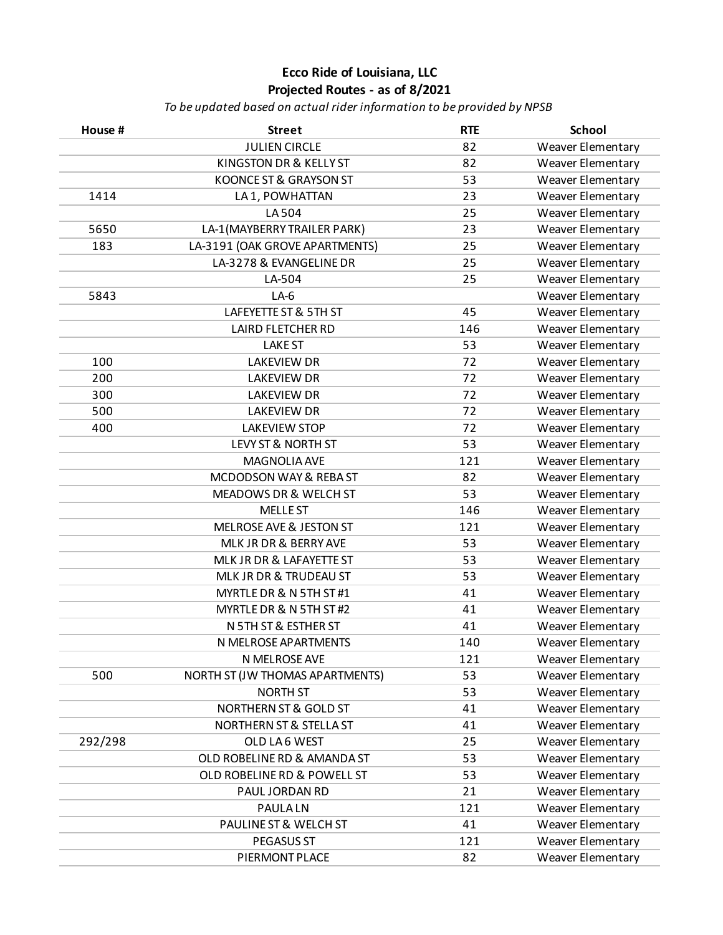| House # | <b>Street</b>                    | <b>RTE</b> | <b>School</b>     |
|---------|----------------------------------|------------|-------------------|
|         | <b>JULIEN CIRCLE</b>             | 82         | Weaver Elementary |
|         | KINGSTON DR & KELLY ST           | 82         | Weaver Elementary |
|         | KOONCE ST & GRAYSON ST           | 53         | Weaver Elementary |
| 1414    | LA 1, POWHATTAN                  | 23         | Weaver Elementary |
|         | LA504                            | 25         | Weaver Elementary |
| 5650    | LA-1(MAYBERRY TRAILER PARK)      | 23         | Weaver Elementary |
| 183     | LA-3191 (OAK GROVE APARTMENTS)   | 25         | Weaver Elementary |
|         | LA-3278 & EVANGELINE DR          | 25         | Weaver Elementary |
|         | LA-504                           | 25         | Weaver Elementary |
| 5843    | $LA-6$                           |            | Weaver Elementary |
|         | LAFEYETTE ST & 5TH ST            | 45         | Weaver Elementary |
|         | <b>LAIRD FLETCHER RD</b>         | 146        | Weaver Elementary |
|         | <b>LAKE ST</b>                   | 53         | Weaver Elementary |
| 100     | <b>LAKEVIEW DR</b>               | 72         | Weaver Elementary |
| 200     | <b>LAKEVIEW DR</b>               | 72         | Weaver Elementary |
| 300     | <b>LAKEVIEW DR</b>               | 72         | Weaver Elementary |
| 500     | <b>LAKEVIEW DR</b>               | 72         | Weaver Elementary |
| 400     | <b>LAKEVIEW STOP</b>             | 72         | Weaver Elementary |
|         | LEVY ST & NORTH ST               | 53         | Weaver Elementary |
|         | MAGNOLIA AVE                     | 121        | Weaver Elementary |
|         | MCDODSON WAY & REBA ST           | 82         | Weaver Elementary |
|         | MEADOWS DR & WELCH ST            | 53         | Weaver Elementary |
|         | <b>MELLE ST</b>                  | 146        | Weaver Elementary |
|         | MELROSE AVE & JESTON ST          | 121        | Weaver Elementary |
|         | MLK JR DR & BERRY AVE            | 53         | Weaver Elementary |
|         | MLK JR DR & LAFAYETTE ST         | 53         | Weaver Elementary |
|         | MLK JR DR & TRUDEAU ST           | 53         | Weaver Elementary |
|         | MYRTLE DR & N 5TH ST #1          | 41         | Weaver Elementary |
|         | MYRTLE DR & N 5TH ST #2          | 41         | Weaver Elementary |
|         | N 5TH ST & ESTHER ST             | 41         | Weaver Elementary |
|         | N MELROSE APARTMENTS             | 140        | Weaver Elementary |
|         | N MELROSE AVE                    | 121        | Weaver Elementary |
| 500     | NORTH ST (JW THOMAS APARTMENTS)  | 53         | Weaver Elementary |
|         | <b>NORTH ST</b>                  | 53         | Weaver Elementary |
|         | <b>NORTHERN ST &amp; GOLD ST</b> | 41         | Weaver Elementary |
|         | NORTHERN ST & STELLA ST          | 41         | Weaver Elementary |
| 292/298 | OLD LA6 WEST                     | 25         | Weaver Elementary |
|         | OLD ROBELINE RD & AMANDA ST      | 53         | Weaver Elementary |
|         | OLD ROBELINE RD & POWELL ST      | 53         | Weaver Elementary |
|         | PAUL JORDAN RD                   | 21         | Weaver Elementary |
|         | <b>PAULALN</b>                   | 121        | Weaver Elementary |
|         | PAULINE ST & WELCH ST            | 41         | Weaver Elementary |
|         | PEGASUS ST                       | 121        | Weaver Elementary |
|         | PIERMONT PLACE                   | 82         | Weaver Elementary |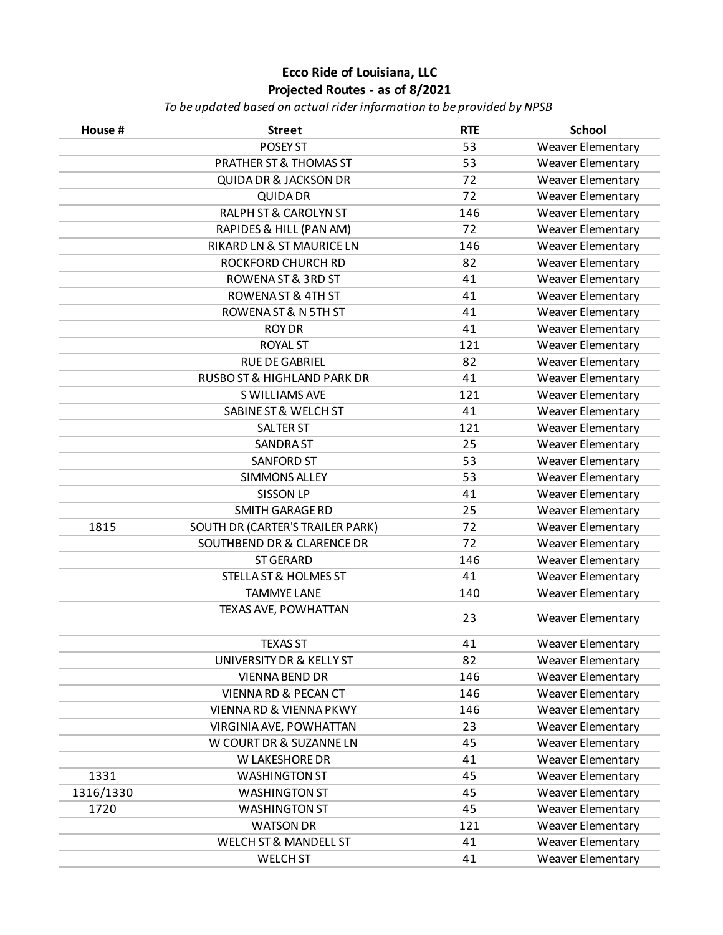| House #   | <b>Street</b>                          | <b>RTE</b> | <b>School</b>     |
|-----------|----------------------------------------|------------|-------------------|
|           | POSEY ST                               | 53         | Weaver Elementary |
|           | <b>PRATHER ST &amp; THOMAS ST</b>      | 53         | Weaver Elementary |
|           | <b>QUIDA DR &amp; JACKSON DR</b>       | 72         | Weaver Elementary |
|           | <b>QUIDA DR</b>                        | 72         | Weaver Elementary |
|           | <b>RALPH ST &amp; CAROLYN ST</b>       | 146        | Weaver Elementary |
|           | RAPIDES & HILL (PAN AM)                | 72         | Weaver Elementary |
|           | <b>RIKARD LN &amp; ST MAURICE LN</b>   | 146        | Weaver Elementary |
|           | ROCKFORD CHURCH RD                     | 82         | Weaver Elementary |
|           | <b>ROWENA ST &amp; 3RD ST</b>          | 41         | Weaver Elementary |
|           | ROWENA ST & 4TH ST                     | 41         | Weaver Elementary |
|           | ROWENA ST & N 5TH ST                   | 41         | Weaver Elementary |
|           | <b>ROY DR</b>                          | 41         | Weaver Elementary |
|           | <b>ROYAL ST</b>                        | 121        | Weaver Elementary |
|           | <b>RUE DE GABRIEL</b>                  | 82         | Weaver Elementary |
|           | <b>RUSBO ST &amp; HIGHLAND PARK DR</b> | 41         | Weaver Elementary |
|           | S WILLIAMS AVE                         | 121        | Weaver Elementary |
|           | SABINE ST & WELCH ST                   | 41         | Weaver Elementary |
|           | <b>SALTER ST</b>                       | 121        | Weaver Elementary |
|           | <b>SANDRA ST</b>                       | 25         | Weaver Elementary |
|           | <b>SANFORD ST</b>                      | 53         | Weaver Elementary |
|           | <b>SIMMONS ALLEY</b>                   | 53         | Weaver Elementary |
|           | <b>SISSON LP</b>                       | 41         | Weaver Elementary |
|           | SMITH GARAGE RD                        | 25         | Weaver Elementary |
| 1815      | SOUTH DR (CARTER'S TRAILER PARK)       | 72         | Weaver Elementary |
|           | <b>SOUTHBEND DR &amp; CLARENCE DR</b>  | 72         | Weaver Elementary |
|           | <b>ST GERARD</b>                       | 146        | Weaver Elementary |
|           | <b>STELLA ST &amp; HOLMES ST</b>       | 41         | Weaver Elementary |
|           | <b>TAMMYE LANE</b>                     | 140        | Weaver Elementary |
|           | TEXAS AVE, POWHATTAN                   | 23         | Weaver Elementary |
|           | <b>TEXAS ST</b>                        | 41         | Weaver Elementary |
|           | UNIVERSITY DR & KELLY ST               | 82         | Weaver Elementary |
|           | <b>VIENNA BEND DR</b>                  | 146        | Weaver Elementary |
|           | VIENNA RD & PECAN CT                   | 146        | Weaver Elementary |
|           | <b>VIENNA RD &amp; VIENNA PKWY</b>     | 146        | Weaver Elementary |
|           | VIRGINIA AVE, POWHATTAN                | 23         | Weaver Elementary |
|           | W COURT DR & SUZANNE LN                | 45         | Weaver Elementary |
|           | W LAKESHORE DR                         | 41         | Weaver Elementary |
| 1331      | <b>WASHINGTON ST</b>                   | 45         | Weaver Elementary |
| 1316/1330 | <b>WASHINGTON ST</b>                   | 45         | Weaver Elementary |
| 1720      | <b>WASHINGTON ST</b>                   | 45         | Weaver Elementary |
|           | <b>WATSON DR</b>                       | 121        | Weaver Elementary |
|           | <b>WELCH ST &amp; MANDELL ST</b>       | 41         | Weaver Elementary |
|           | <b>WELCH ST</b>                        | 41         | Weaver Elementary |